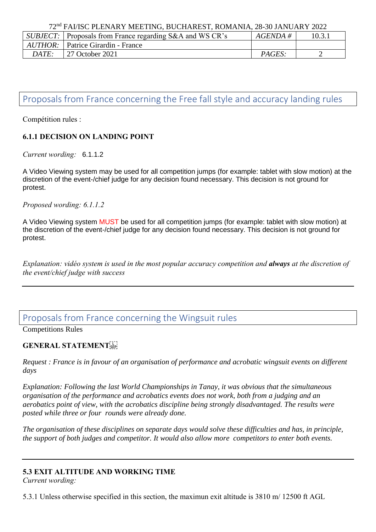72nd FAI/ISC PLENARY MEETING, BUCHAREST, ROMANIA, 28-30 JANUARY 2022

|       | <i>SUBJECT:</i> Proposals from France regarding S&A and WS CR's | $AGENDA \#$ | 10.3.1 |  |
|-------|-----------------------------------------------------------------|-------------|--------|--|
|       | <i>AUTHOR:</i> Patrice Girardin - France                        |             |        |  |
| DATE: | 27 October 2021                                                 | PAGES:      |        |  |
|       |                                                                 |             |        |  |

# Proposals from France concerning the Free fall style and accuracy landing rules

Compétition rules :

### **6.1.1 DECISION ON LANDING POINT**

*Current wording:* 6.1.1.2

A Video Viewing system may be used for all competition jumps (for example: tablet with slow motion) at the discretion of the event-/chief judge for any decision found necessary. This decision is not ground for protest.

*Proposed wording: 6.1.1.2*

A Video Viewing system MUST be used for all competition jumps (for example: tablet with slow motion) at the discretion of the event-/chief judge for any decision found necessary. This decision is not ground for protest.

*Explanation: vidéo system is used in the most popular accuracy competition and always at the discretion of the event/chief judge with success*

## Proposals from France concerning the Wingsuit rules

Competitions Rules

### **GENERAL STATEMENT**

*Request : France is in favour of an organisation of performance and acrobatic wingsuit events on different days*

*Explanation: Following the last World Championships in Tanay, it was obvious that the simultaneous organisation of the performance and acrobatics events does not work, both from a judging and an aerobatics point of view, with the acrobatics discipline being strongly disadvantaged. The results were posted while three or four rounds were already done.*

*The organisation of these disciplines on separate days would solve these difficulties and has, in principle, the support of both judges and competitor. It would also allow more competitors to enter both events.*

### **5.3 EXIT ALTITUDE AND WORKING TIME**

*Current wording:*

5.3.1 Unless otherwise specified in this section, the maximun exit altitude is 3810 m/ 12500 ft AGL